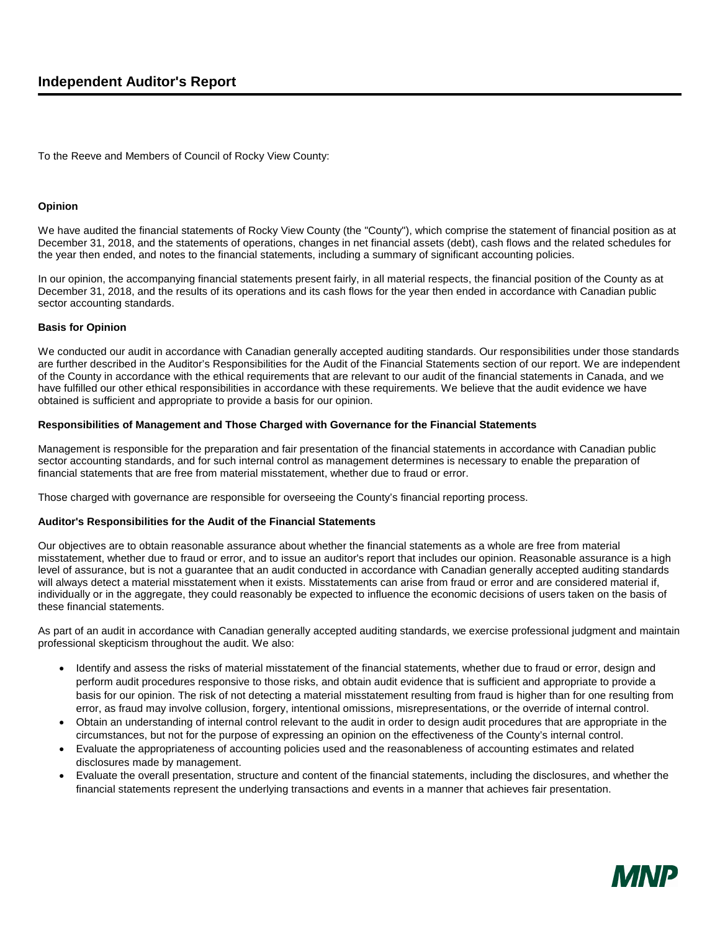To the Reeve and Members of Council of Rocky View County:

#### **Opinion**

We have audited the financial statements of Rocky View County (the "County"), which comprise the statement of financial position as at December 31, 2018, and the statements of operations, changes in net financial assets (debt), cash flows and the related schedules for the year then ended, and notes to the financial statements, including a summary of significant accounting policies.

In our opinion, the accompanying financial statements present fairly, in all material respects, the financial position of the County as at December 31, 2018, and the results of its operations and its cash flows for the year then ended in accordance with Canadian public sector accounting standards.

#### **Basis for Opinion**

We conducted our audit in accordance with Canadian generally accepted auditing standards. Our responsibilities under those standards are further described in the Auditor's Responsibilities for the Audit of the Financial Statements section of our report. We are independent of the County in accordance with the ethical requirements that are relevant to our audit of the financial statements in Canada, and we have fulfilled our other ethical responsibilities in accordance with these requirements. We believe that the audit evidence we have obtained is sufficient and appropriate to provide a basis for our opinion.

#### **Responsibilities of Management and Those Charged with Governance for the Financial Statements**

Management is responsible for the preparation and fair presentation of the financial statements in accordance with Canadian public sector accounting standards, and for such internal control as management determines is necessary to enable the preparation of financial statements that are free from material misstatement, whether due to fraud or error.

Those charged with governance are responsible for overseeing the County's financial reporting process.

#### **Auditor's Responsibilities for the Audit of the Financial Statements**

Our objectives are to obtain reasonable assurance about whether the financial statements as a whole are free from material misstatement, whether due to fraud or error, and to issue an auditor's report that includes our opinion. Reasonable assurance is a high level of assurance, but is not a guarantee that an audit conducted in accordance with Canadian generally accepted auditing standards will always detect a material misstatement when it exists. Misstatements can arise from fraud or error and are considered material if, individually or in the aggregate, they could reasonably be expected to influence the economic decisions of users taken on the basis of these financial statements.

As part of an audit in accordance with Canadian generally accepted auditing standards, we exercise professional judgment and maintain professional skepticism throughout the audit. We also:

- Identify and assess the risks of material misstatement of the financial statements, whether due to fraud or error, design and perform audit procedures responsive to those risks, and obtain audit evidence that is sufficient and appropriate to provide a basis for our opinion. The risk of not detecting a material misstatement resulting from fraud is higher than for one resulting from error, as fraud may involve collusion, forgery, intentional omissions, misrepresentations, or the override of internal control.
- " Obtain an understanding of internal control relevant to the audit in order to design audit procedures that are appropriate in the circumstances, but not for the purpose of expressing an opinion on the effectiveness of the County's internal control.
- Evaluate the appropriateness of accounting policies used and the reasonableness of accounting estimates and related disclosures made by management.
- Evaluate the overall presentation, structure and content of the financial statements, including the disclosures, and whether the financial statements represent the underlying transactions and events in a manner that achieves fair presentation.

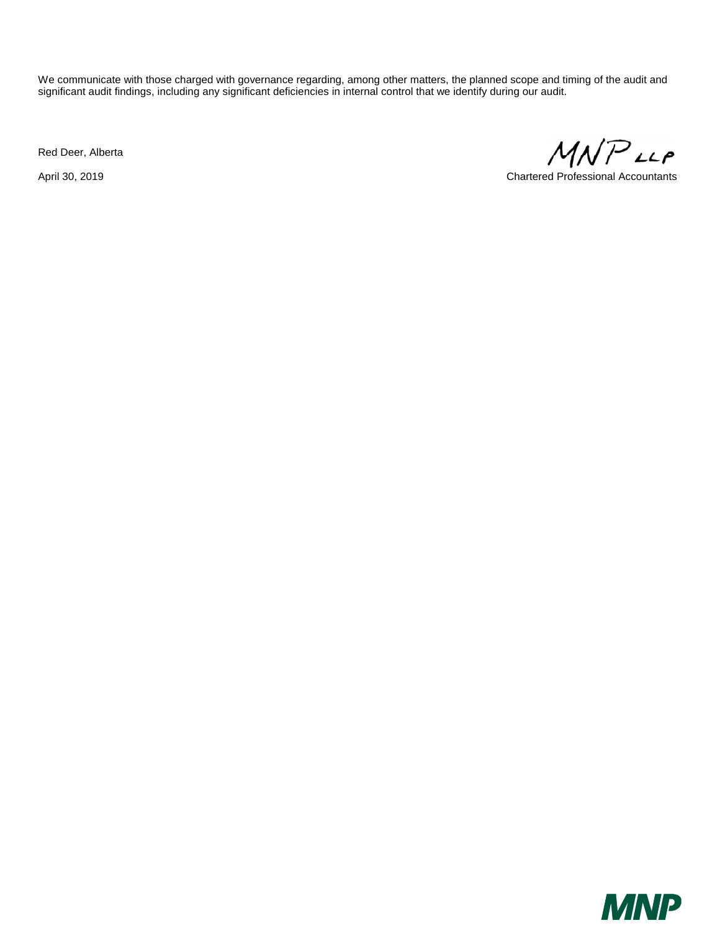We communicate with those charged with governance regarding, among other matters, the planned scope and timing of the audit and significant audit findings, including any significant deficiencies in internal control that we identify during our audit.

Red Deer, Alberta

MNPLLP

April 30, 2019 Chartered Professional Accountants

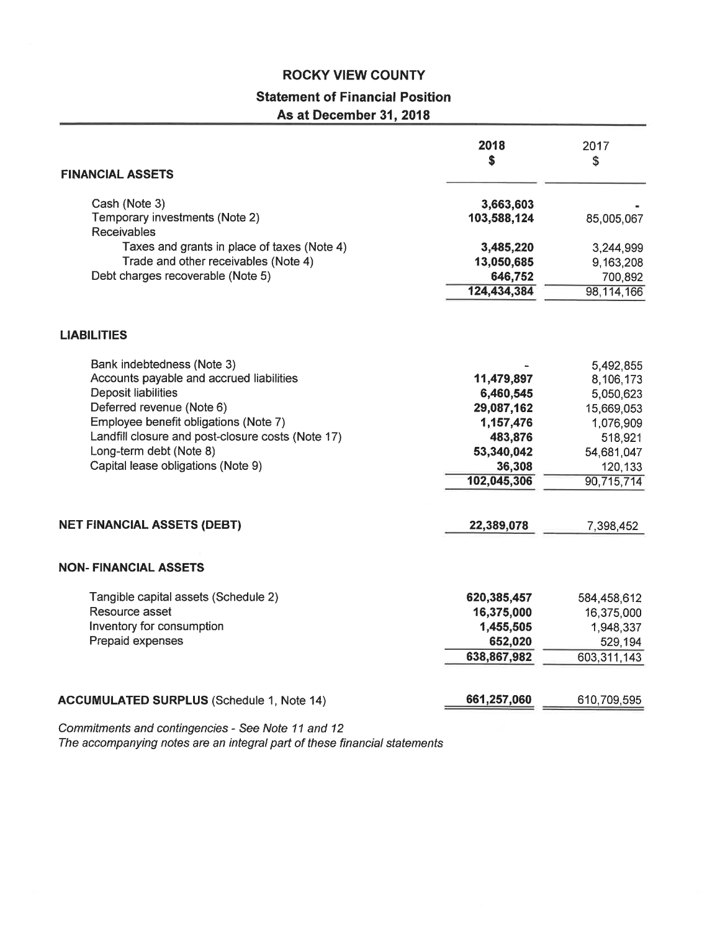# **ROCKY VIEW COUNTY**

# **Statement of Financial Position** As at December 31, 2018

| <b>FINANCIAL ASSETS</b>                                                                                                                                                                                                                                                                          | 2018<br>\$                                                                                           | 2017<br>\$                                                                                                       |
|--------------------------------------------------------------------------------------------------------------------------------------------------------------------------------------------------------------------------------------------------------------------------------------------------|------------------------------------------------------------------------------------------------------|------------------------------------------------------------------------------------------------------------------|
| Cash (Note 3)<br>Temporary investments (Note 2)<br><b>Receivables</b>                                                                                                                                                                                                                            | 3,663,603<br>103,588,124                                                                             | 85,005,067                                                                                                       |
| Taxes and grants in place of taxes (Note 4)<br>Trade and other receivables (Note 4)<br>Debt charges recoverable (Note 5)                                                                                                                                                                         | 3,485,220<br>13,050,685<br>646,752<br>124,434,384                                                    | 3,244,999<br>9,163,208<br>700,892<br>98, 114, 166                                                                |
| <b>LIABILITIES</b>                                                                                                                                                                                                                                                                               |                                                                                                      |                                                                                                                  |
| Bank indebtedness (Note 3)<br>Accounts payable and accrued liabilities<br><b>Deposit liabilities</b><br>Deferred revenue (Note 6)<br>Employee benefit obligations (Note 7)<br>Landfill closure and post-closure costs (Note 17)<br>Long-term debt (Note 8)<br>Capital lease obligations (Note 9) | 11,479,897<br>6,460,545<br>29,087,162<br>1,157,476<br>483,876<br>53,340,042<br>36,308<br>102,045,306 | 5,492,855<br>8,106,173<br>5,050,623<br>15,669,053<br>1,076,909<br>518,921<br>54,681,047<br>120,133<br>90,715,714 |
| <b>NET FINANCIAL ASSETS (DEBT)</b>                                                                                                                                                                                                                                                               | 22,389,078                                                                                           | 7,398,452                                                                                                        |
| <b>NON-FINANCIAL ASSETS</b>                                                                                                                                                                                                                                                                      |                                                                                                      |                                                                                                                  |
| Tangible capital assets (Schedule 2)<br>Resource asset<br>Inventory for consumption<br>Prepaid expenses                                                                                                                                                                                          | 620, 385, 457<br>16,375,000<br>1,455,505<br>652,020<br>638,867,982                                   | 584,458,612<br>16,375,000<br>1,948,337<br>529,194<br>603,311,143                                                 |
| <b>ACCUMULATED SURPLUS (Schedule 1, Note 14)</b>                                                                                                                                                                                                                                                 | 661,257,060                                                                                          | 610,709,595                                                                                                      |

Commitments and contingencies - See Note 11 and 12<br>The accompanying notes are an integral part of these financial statements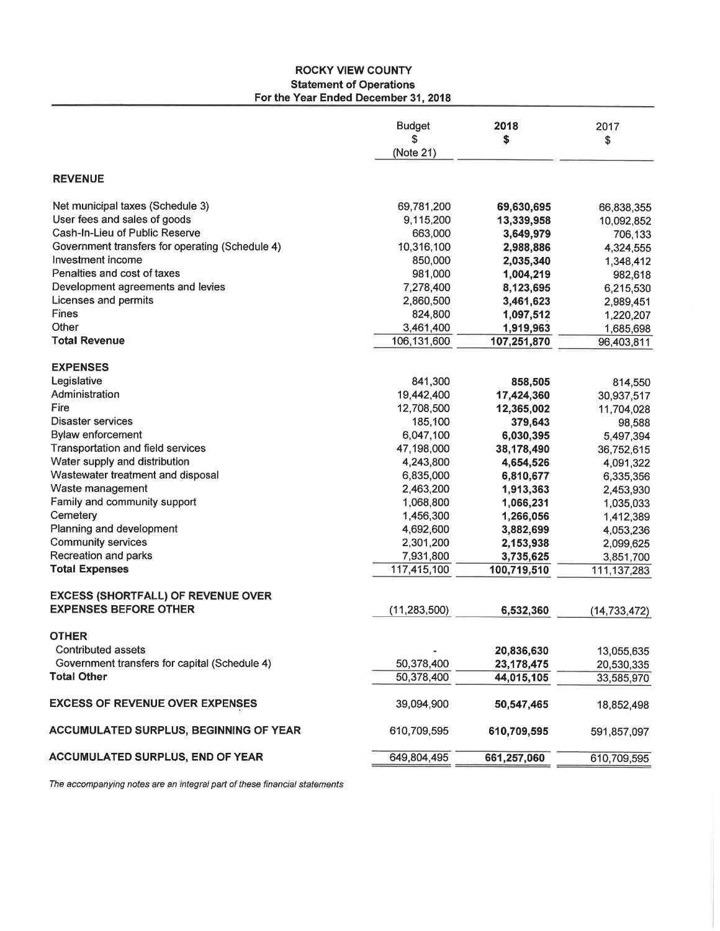#### **ROCKY VIEW COUNTY Statement of Operations** For the Year Ended December 31, 2018

|                                                 | <b>Budget</b><br>\$<br>(Note 21) | 2018<br>\$   | 2017<br>\$     |
|-------------------------------------------------|----------------------------------|--------------|----------------|
| <b>REVENUE</b>                                  |                                  |              |                |
| Net municipal taxes (Schedule 3)                | 69,781,200                       | 69,630,695   | 66,838,355     |
| User fees and sales of goods                    | 9,115,200                        | 13,339,958   | 10,092,852     |
| Cash-In-Lieu of Public Reserve                  | 663,000                          | 3,649,979    | 706,133        |
| Government transfers for operating (Schedule 4) | 10,316,100                       | 2,988,886    | 4,324,555      |
| Investment income                               | 850,000                          | 2,035,340    | 1,348,412      |
| Penalties and cost of taxes                     | 981,000                          | 1,004,219    | 982,618        |
| Development agreements and levies               | 7,278,400                        | 8,123,695    | 6,215,530      |
| Licenses and permits                            | 2,860,500                        | 3,461,623    | 2,989,451      |
| Fines                                           | 824,800                          | 1,097,512    | 1,220,207      |
| Other                                           | 3,461,400                        | 1,919,963    | 1,685,698      |
| <b>Total Revenue</b>                            | 106,131,600                      | 107,251,870  | 96,403,811     |
| <b>EXPENSES</b>                                 |                                  |              |                |
| Legislative                                     | 841,300                          | 858,505      | 814,550        |
| Administration                                  | 19,442,400                       | 17,424,360   | 30,937,517     |
| Fire                                            | 12,708,500                       | 12,365,002   | 11,704,028     |
| Disaster services                               | 185,100                          | 379,643      | 98,588         |
| <b>Bylaw enforcement</b>                        | 6,047,100                        | 6,030,395    | 5,497,394      |
| Transportation and field services               | 47,198,000                       | 38,178,490   | 36,752,615     |
| Water supply and distribution                   | 4,243,800                        | 4,654,526    | 4,091,322      |
| Wastewater treatment and disposal               | 6,835,000                        | 6,810,677    | 6,335,356      |
| Waste management                                | 2,463,200                        | 1,913,363    | 2,453,930      |
| Family and community support                    | 1,068,800                        | 1,066,231    | 1,035,033      |
| Cemetery                                        | 1,456,300                        | 1,266,056    | 1,412,389      |
| Planning and development                        | 4,692,600                        | 3,882,699    | 4,053,236      |
| <b>Community services</b>                       | 2,301,200                        | 2,153,938    | 2,099,625      |
| Recreation and parks                            | 7,931,800                        | 3,735,625    | 3,851,700      |
| <b>Total Expenses</b>                           | 117,415,100                      | 100,719,510  | 111, 137, 283  |
| <b>EXCESS (SHORTFALL) OF REVENUE OVER</b>       |                                  |              |                |
| <b>EXPENSES BEFORE OTHER</b>                    | (11, 283, 500)                   | 6,532,360    | (14, 733, 472) |
| <b>OTHER</b>                                    |                                  |              |                |
| Contributed assets                              |                                  | 20,836,630   | 13,055,635     |
| Government transfers for capital (Schedule 4)   | 50,378,400                       | 23, 178, 475 | 20,530,335     |
| <b>Total Other</b>                              | 50,378,400                       | 44,015,105   | 33,585,970     |
| <b>EXCESS OF REVENUE OVER EXPENSES</b>          | 39,094,900                       | 50,547,465   | 18,852,498     |
| ACCUMULATED SURPLUS, BEGINNING OF YEAR          | 610,709,595                      | 610,709,595  | 591,857,097    |
| <b>ACCUMULATED SURPLUS, END OF YEAR</b>         | 649,804,495                      | 661,257,060  | 610,709,595    |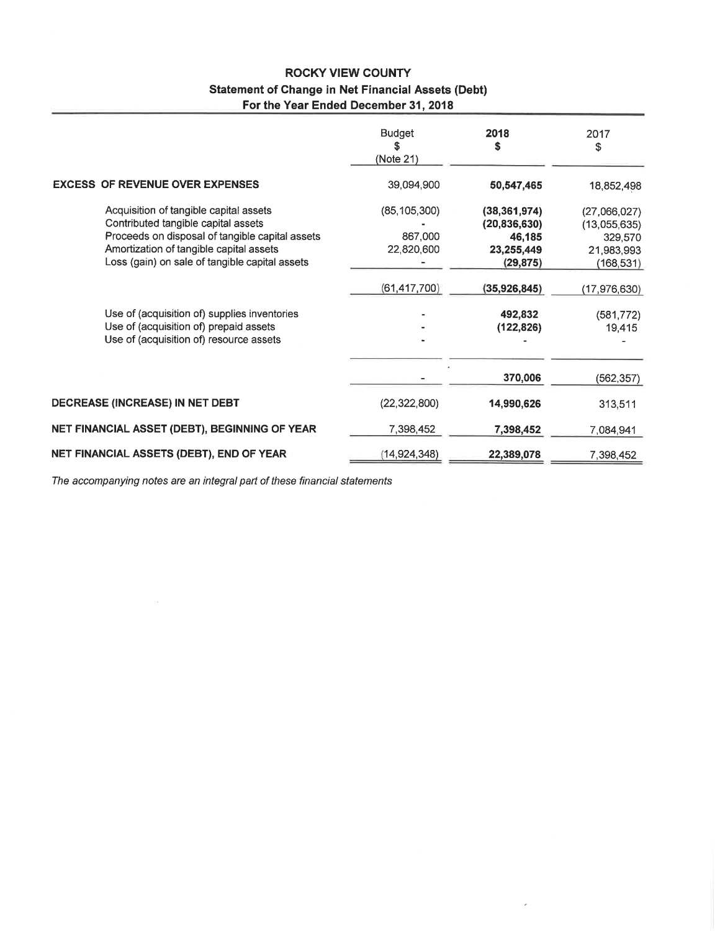### **ROCKY VIEW COUNTY Statement of Change in Net Financial Assets (Debt)** For the Year Ended December 31, 2018

|                                                                                                                                                                                                                               | Budget<br>S<br>(Note 21)                | 2018<br>S                                                             | 2017<br>\$                                                         |
|-------------------------------------------------------------------------------------------------------------------------------------------------------------------------------------------------------------------------------|-----------------------------------------|-----------------------------------------------------------------------|--------------------------------------------------------------------|
| <b>EXCESS OF REVENUE OVER EXPENSES</b>                                                                                                                                                                                        | 39,094,900                              | 50,547,465                                                            | 18,852,498                                                         |
| Acquisition of tangible capital assets<br>Contributed tangible capital assets<br>Proceeds on disposal of tangible capital assets<br>Amortization of tangible capital assets<br>Loss (gain) on sale of tangible capital assets | (85, 105, 300)<br>867,000<br>22,820,600 | (38, 361, 974)<br>(20, 836, 630)<br>46,185<br>23,255,449<br>(29, 875) | (27,066,027)<br>(13,055,635)<br>329,570<br>21,983,993<br>(168,531) |
|                                                                                                                                                                                                                               | (61, 417, 700)                          | (35, 926, 845)                                                        | (17, 976, 630)                                                     |
| Use of (acquisition of) supplies inventories<br>Use of (acquisition of) prepaid assets<br>Use of (acquisition of) resource assets                                                                                             |                                         | 492,832<br>(122, 826)                                                 | (581, 772)<br>19,415                                               |
|                                                                                                                                                                                                                               |                                         | 370,006                                                               | (562, 357)                                                         |
| DECREASE (INCREASE) IN NET DEBT                                                                                                                                                                                               | (22, 322, 800)                          | 14,990,626                                                            | 313,511                                                            |
| NET FINANCIAL ASSET (DEBT), BEGINNING OF YEAR                                                                                                                                                                                 | 7,398,452                               | 7,398,452                                                             | 7,084,941                                                          |
| NET FINANCIAL ASSETS (DEBT), END OF YEAR                                                                                                                                                                                      | (14,924,348)                            | 22,389,078                                                            | 7,398,452                                                          |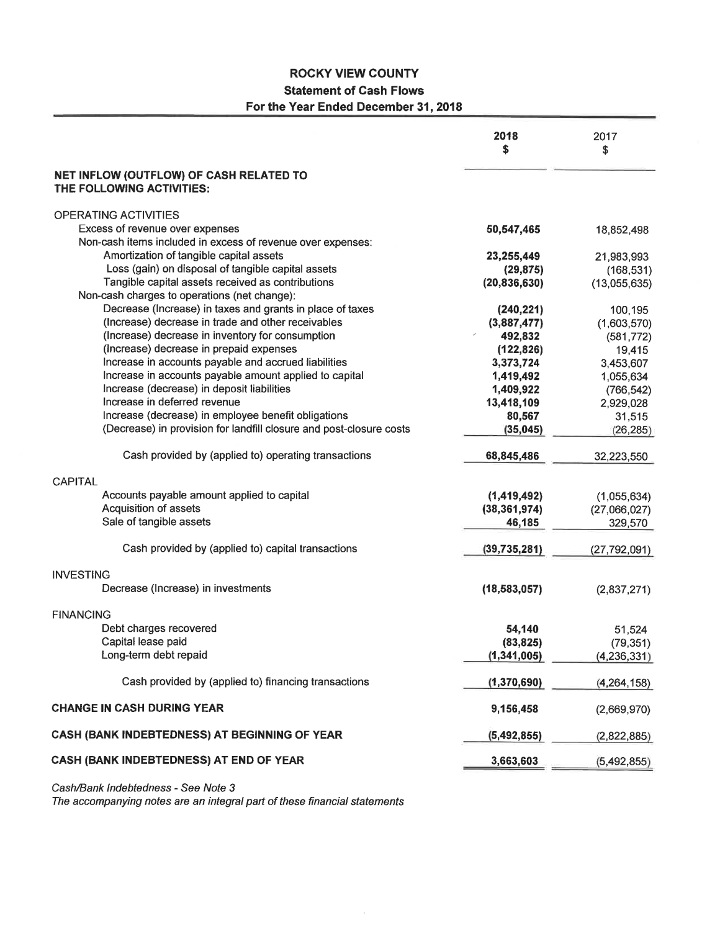## **ROCKY VIEW COUNTY Statement of Cash Flows** For the Year Ended December 31, 2018

|                                                                            | 2018<br>\$     | 2017<br>\$     |
|----------------------------------------------------------------------------|----------------|----------------|
| NET INFLOW (OUTFLOW) OF CASH RELATED TO<br>THE FOLLOWING ACTIVITIES:       |                |                |
| <b>OPERATING ACTIVITIES</b>                                                |                |                |
| Excess of revenue over expenses                                            | 50,547,465     | 18,852,498     |
| Non-cash items included in excess of revenue over expenses:                |                |                |
| Amortization of tangible capital assets                                    | 23,255,449     | 21,983,993     |
| Loss (gain) on disposal of tangible capital assets                         | (29, 875)      | (168, 531)     |
| Tangible capital assets received as contributions                          | (20, 836, 630) | (13,055,635)   |
| Non-cash charges to operations (net change):                               |                |                |
| Decrease (Increase) in taxes and grants in place of taxes                  | (240, 221)     | 100,195        |
| (Increase) decrease in trade and other receivables                         | (3,887,477)    | (1,603,570)    |
| (Increase) decrease in inventory for consumption                           | 492,832        | (581, 772)     |
| (Increase) decrease in prepaid expenses                                    | (122, 826)     | 19,415         |
| Increase in accounts payable and accrued liabilities                       | 3,373,724      | 3,453,607      |
| Increase in accounts payable amount applied to capital                     | 1,419,492      | 1,055,634      |
| Increase (decrease) in deposit liabilities<br>Increase in deferred revenue | 1,409,922      | (766, 542)     |
| Increase (decrease) in employee benefit obligations                        | 13,418,109     | 2,929,028      |
| (Decrease) in provision for landfill closure and post-closure costs        | 80,567         | 31,515         |
|                                                                            | (35,045)       | (26, 285)      |
| Cash provided by (applied to) operating transactions                       | 68,845,486     | 32,223,550     |
| <b>CAPITAL</b>                                                             |                |                |
| Accounts payable amount applied to capital                                 | (1,419,492)    | (1,055,634)    |
| Acquisition of assets                                                      | (38, 361, 974) | (27,066,027)   |
| Sale of tangible assets                                                    | 46,185         | 329,570        |
| Cash provided by (applied to) capital transactions                         | (39, 735, 281) | (27, 792, 091) |
| <b>INVESTING</b>                                                           |                |                |
| Decrease (Increase) in investments                                         | (18,583,057)   | (2,837,271)    |
| <b>FINANCING</b>                                                           |                |                |
| Debt charges recovered                                                     | 54,140         | 51,524         |
| Capital lease paid                                                         | (83, 825)      | (79, 351)      |
| Long-term debt repaid                                                      | (1, 341, 005)  | (4, 236, 331)  |
| Cash provided by (applied to) financing transactions                       | (1, 370, 690)  | (4, 264, 158)  |
| <b>CHANGE IN CASH DURING YEAR</b>                                          | 9,156,458      | (2,669,970)    |
| CASH (BANK INDEBTEDNESS) AT BEGINNING OF YEAR                              | (5, 492, 855)  | (2,822,885)    |
| CASH (BANK INDEBTEDNESS) AT END OF YEAR                                    | 3,663,603      | (5,492,855)    |

Cash/Bank Indebtedness - See Note 3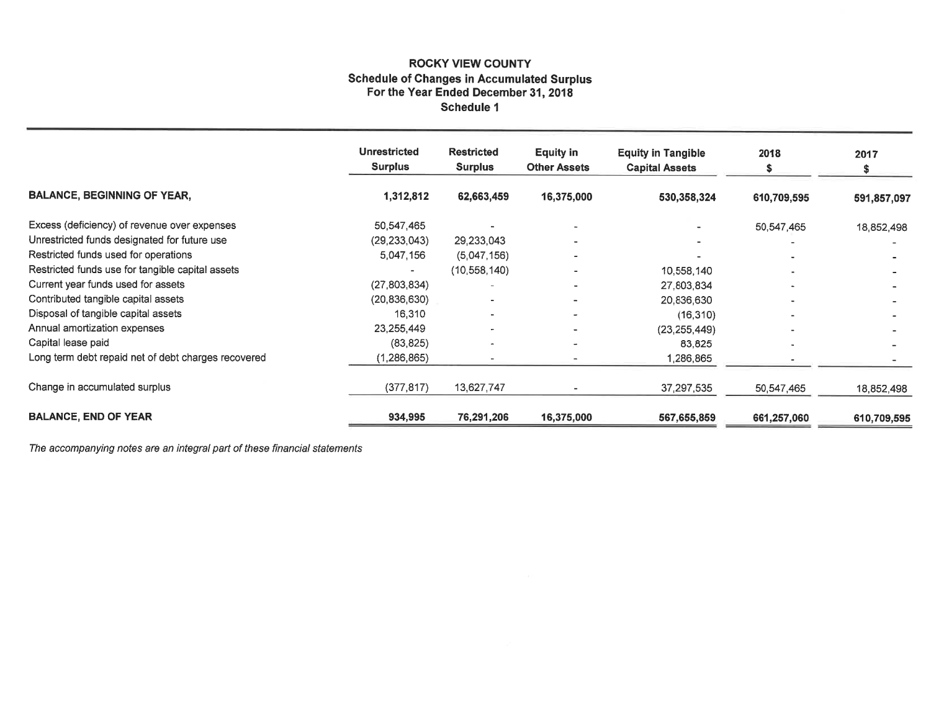# **ROCKY VIEW COUNTY** Schedule of Changes in Accumulated Surplus<br>For the Year Ended December 31, 2018 Schedule 1

|                                                     | <b>Unrestricted</b><br><b>Surplus</b> | <b>Restricted</b><br><b>Surplus</b> | <b>Equity in</b><br><b>Other Assets</b> | <b>Equity in Tangible</b><br><b>Capital Assets</b> | 2018        | 2017        |
|-----------------------------------------------------|---------------------------------------|-------------------------------------|-----------------------------------------|----------------------------------------------------|-------------|-------------|
| <b>BALANCE, BEGINNING OF YEAR,</b>                  | 1,312,812                             | 62,663,459                          | 16,375,000                              | 530,358,324                                        | 610,709,595 | 591,857,097 |
| Excess (deficiency) of revenue over expenses        | 50,547,465                            |                                     |                                         |                                                    | 50,547,465  | 18,852,498  |
| Unrestricted funds designated for future use        | (29, 233, 043)                        | 29,233,043                          |                                         |                                                    |             |             |
| Restricted funds used for operations                | 5,047,156                             | (5,047,156)                         |                                         |                                                    |             |             |
| Restricted funds use for tangible capital assets    | ۰                                     | (10,558,140)                        |                                         | 10,558,140                                         |             |             |
| Current year funds used for assets                  | (27,803,834)                          |                                     |                                         | 27,803,834                                         |             |             |
| Contributed tangible capital assets                 | (20, 836, 630)                        |                                     |                                         | 20,836,630                                         |             |             |
| Disposal of tangible capital assets                 | 16,310                                |                                     |                                         | (16, 310)                                          |             |             |
| Annual amortization expenses                        | 23,255,449                            | $\sim$                              |                                         | (23, 255, 449)                                     |             |             |
| Capital lease paid                                  | (83, 825)                             |                                     |                                         | 83,825                                             |             |             |
| Long term debt repaid net of debt charges recovered | (1,286,865)                           |                                     |                                         | 1,286,865                                          |             |             |
| Change in accumulated surplus                       | (377, 817)                            | 13,627,747                          |                                         | 37,297,535                                         | 50,547,465  | 18,852,498  |
| <b>BALANCE, END OF YEAR</b>                         | 934,995                               | 76,291,206                          | 16,375,000                              | 567,655,859                                        | 661,257,060 | 610,709,595 |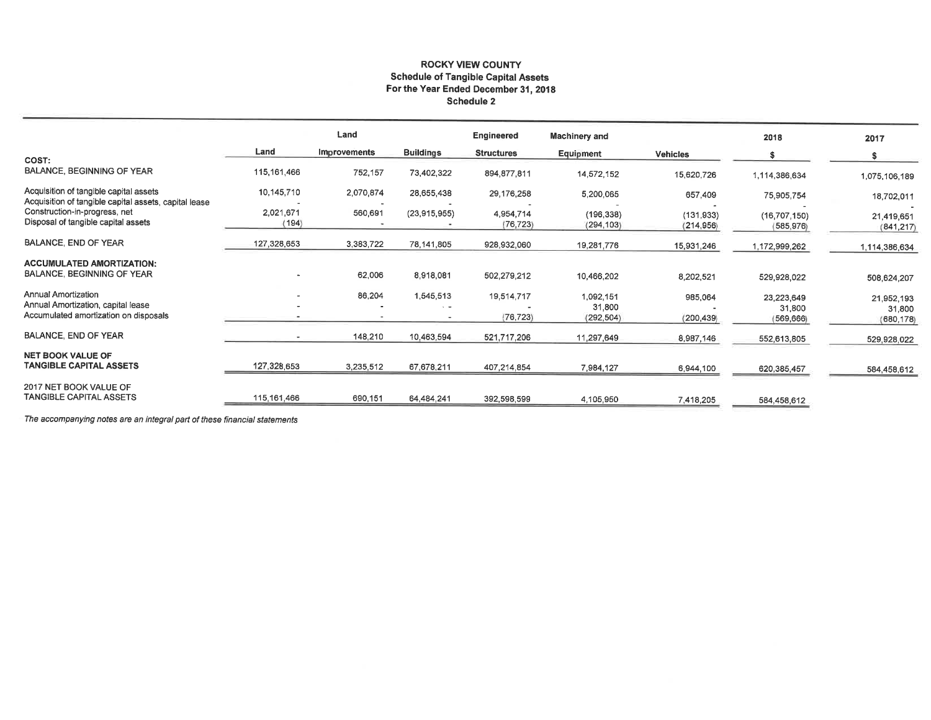#### **ROCKY VIEW COUNTY Schedule of Tangible Capital Assets** For the Year Ended December 31, 2018 Schedule 2

|                                                                                                    |                    | Land         |                         | Engineered              | Machinery and                     |                         | 2018                               | 2017                               |
|----------------------------------------------------------------------------------------------------|--------------------|--------------|-------------------------|-------------------------|-----------------------------------|-------------------------|------------------------------------|------------------------------------|
|                                                                                                    | Land               | Improvements | <b>Buildings</b>        | <b>Structures</b>       | Equipment                         | <b>Vehicles</b>         | S                                  | S                                  |
| COST:<br>BALANCE, BEGINNING OF YEAR                                                                | 115,161,466        | 752,157      | 73,402,322              | 894,877,811             | 14,572,152                        | 15,620,726              | 1,114,386,634                      | 1,075,106,189                      |
| Acquisition of tangible capital assets<br>Acquisition of tangible capital assets, capital lease    | 10,145,710         | 2,070,874    | 28,655,438              | 29,176,258              | 5,200,065                         | 657,409                 | 75,905,754                         | 18,702,011                         |
| Construction-in-progress, net<br>Disposal of tangible capital assets                               | 2,021,671<br>(194) | 560,691      | (23, 915, 955)          | 4,954,714<br>(76, 723)  | (196, 338)<br>(294, 103)          | (131.933)<br>(214, 956) | (16, 707, 150)<br>(585, 976)       | 21,419,651<br>(841, 217)           |
| BALANCE, END OF YEAR                                                                               | 127,328,653        | 3,383,722    | 78,141,805              | 928,932,060             | 19,281,776                        | 15,931,246              | 1,172,999,262                      | 1,114,386,634                      |
| <b>ACCUMULATED AMORTIZATION:</b><br>BALANCE, BEGINNING OF YEAR                                     |                    | 62,006       | 8,918,081               | 502,279,212             | 10,466,202                        | 8,202,521               | 529,928,022                        | 508,624,207                        |
| Annual Amortization<br>Annual Amortization, capital lease<br>Accumulated amortization on disposals |                    | 86,204       | 1,545,513<br>$\sim$ $-$ | 19,514,717<br>(76, 723) | 1,092,151<br>31,800<br>(292, 504) | 985,064<br>(200, 439)   | 23,223,649<br>31,800<br>(569, 666) | 21,952,193<br>31,800<br>(680, 178) |
| <b>BALANCE, END OF YEAR</b>                                                                        | $\sim$             | 148,210      | 10,463,594              | 521,717,206             | 11,297,649                        | 8,987,146               | 552,613,805                        | 529,928,022                        |
| <b>NET BOOK VALUE OF</b><br><b>TANGIBLE CAPITAL ASSETS</b>                                         | 127,328,653        | 3,235,512    | 67,678,211              | 407,214,854             | 7,984,127                         | 6,944,100               | 620,385,457                        | 584,458,612                        |
| 2017 NET BOOK VALUE OF<br>TANGIBLE CAPITAL ASSETS                                                  | 115, 161, 466      | 690,151      | 64,484,241              | 392,598,599             | 4,105,950                         | 7,418,205               | 584,458,612                        |                                    |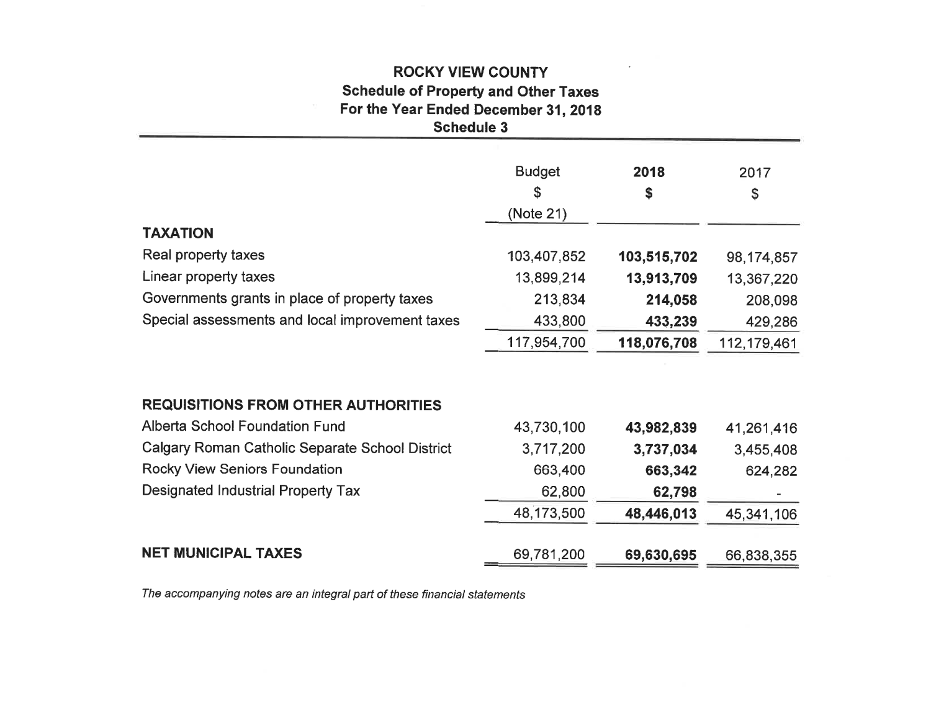# **ROCKY VIEW COUNTY Schedule of Property and Other Taxes** For the Year Ended December 31, 2018 Schedule 3

| <b>Budget</b> | 2018        | 2017        |
|---------------|-------------|-------------|
| S             | \$          | \$          |
| (Note 21)     |             |             |
|               |             |             |
| 103,407,852   | 103,515,702 | 98,174,857  |
| 13,899,214    | 13,913,709  | 13,367,220  |
| 213,834       | 214,058     | 208,098     |
| 433,800       | 433,239     | 429,286     |
| 117,954,700   | 118,076,708 | 112,179,461 |
|               |             |             |
| 43,730,100    | 43,982,839  | 41,261,416  |
| 3,717,200     | 3,737,034   | 3,455,408   |
| 663,400       | 663,342     | 624,282     |
| 62,800        | 62,798      |             |
| 48,173,500    | 48,446,013  | 45,341,106  |
|               |             |             |
| 69,781,200    | 69,630,695  | 66,838,355  |
|               |             |             |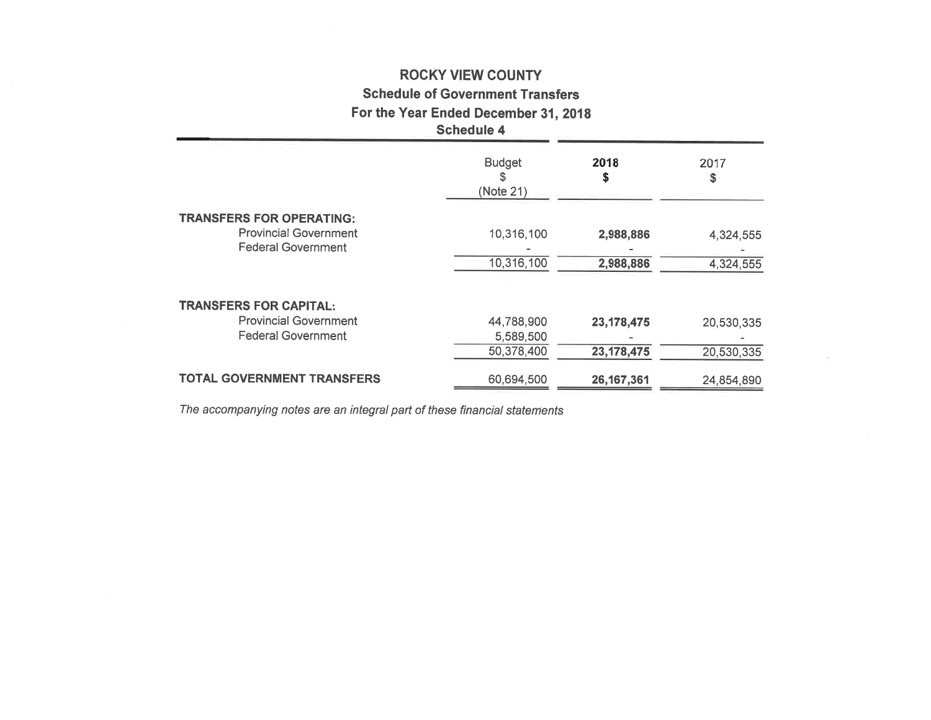# **ROCKY VIEW COUNTY Schedule of Government Transfers**

# For the Year Ended December 31, 2018

### **Schedule 4**

|                                                                 | <b>Budget</b><br>5<br>(Note 21) | 2018<br>S    | 2017<br>\$ |
|-----------------------------------------------------------------|---------------------------------|--------------|------------|
| <b>TRANSFERS FOR OPERATING:</b><br><b>Provincial Government</b> | 10,316,100                      | 2,988,886    | 4,324,555  |
| <b>Federal Government</b>                                       | 10,316,100                      | 2,988,886    | 4,324,555  |
| <b>TRANSFERS FOR CAPITAL:</b>                                   |                                 |              |            |
| <b>Provincial Government</b>                                    | 44,788,900                      | 23, 178, 475 | 20,530,335 |
| <b>Federal Government</b>                                       | 5,589,500                       |              |            |
|                                                                 | 50,378,400                      | 23, 178, 475 | 20,530,335 |
| <b>TOTAL GOVERNMENT TRANSFERS</b>                               | 60,694,500                      | 26, 167, 361 | 24,854,890 |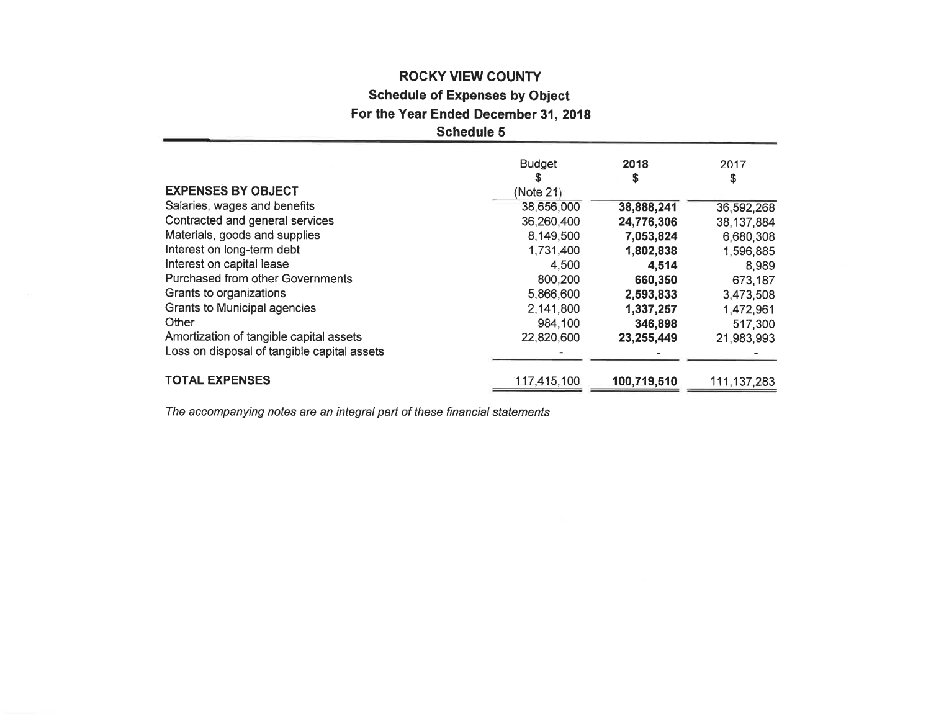# **ROCKY VIEW COUNTY Schedule of Expenses by Object** For the Year Ended December 31, 2018

# Schedule 5

|                                             | <b>Budget</b> | 2018        | 2017          |
|---------------------------------------------|---------------|-------------|---------------|
|                                             | \$            | S           | \$            |
| <b>EXPENSES BY OBJECT</b>                   | (Note 21)     |             |               |
| Salaries, wages and benefits                | 38,656,000    | 38,888,241  | 36,592,268    |
| Contracted and general services             | 36,260,400    | 24,776,306  | 38, 137, 884  |
| Materials, goods and supplies               | 8,149,500     | 7,053,824   | 6,680,308     |
| Interest on long-term debt                  | 1,731,400     | 1,802,838   | 1,596,885     |
| Interest on capital lease                   | 4,500         | 4,514       | 8,989         |
| Purchased from other Governments            | 800,200       | 660,350     | 673,187       |
| Grants to organizations                     | 5,866,600     | 2,593,833   | 3,473,508     |
| Grants to Municipal agencies                | 2,141,800     | 1,337,257   | 1,472,961     |
| Other                                       | 984,100       | 346,898     | 517,300       |
| Amortization of tangible capital assets     | 22,820,600    | 23,255,449  | 21,983,993    |
| Loss on disposal of tangible capital assets |               |             |               |
| <b>TOTAL EXPENSES</b>                       | 117,415,100   | 100,719,510 | 111, 137, 283 |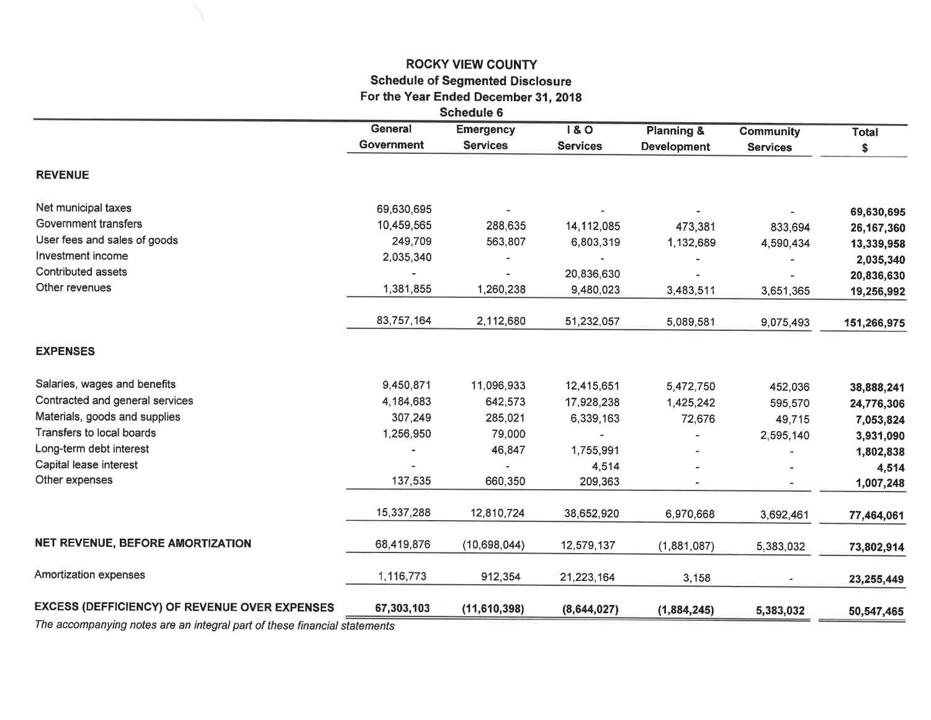### **ROCKY VIEW COUNTY Schedule of Segmented Disclosure** For the Year Ended December 31, 2018 Schedule 6

|                                                      | General           | <b>Emergency</b> | 180             | Planning &         | <b>Community</b> | <b>Total</b> |
|------------------------------------------------------|-------------------|------------------|-----------------|--------------------|------------------|--------------|
|                                                      | <b>Government</b> | <b>Services</b>  | <b>Services</b> | <b>Development</b> | <b>Services</b>  | \$           |
| <b>REVENUE</b>                                       |                   |                  |                 |                    |                  |              |
| Net municipal taxes                                  | 69,630,695        |                  |                 |                    |                  | 69,630,695   |
| Government transfers                                 | 10,459,565        | 288,635          | 14,112,085      | 473,381            | 833,694          | 26, 167, 360 |
| User fees and sales of goods                         | 249,709           | 563,807          | 6,803,319       | 1,132,689          | 4,590,434        | 13,339,958   |
| Investment income                                    | 2,035,340         |                  |                 |                    |                  | 2,035,340    |
| <b>Contributed assets</b>                            |                   |                  | 20,836,630      |                    |                  | 20,836,630   |
| Other revenues                                       | 1,381,855         | 1,260,238        | 9,480,023       | 3,483,511          | 3,651,365        | 19,256,992   |
|                                                      | 83,757,164        | 2,112,680        | 51,232,057      | 5,089,581          | 9,075,493        | 151,266,975  |
| <b>EXPENSES</b>                                      |                   |                  |                 |                    |                  |              |
| Salaries, wages and benefits                         | 9,450,871         | 11,096,933       | 12,415,651      | 5,472,750          | 452,036          | 38,888,241   |
| Contracted and general services                      | 4,184,683         | 642,573          | 17,928,238      | 1,425,242          | 595,570          | 24,776,306   |
| Materials, goods and supplies                        | 307,249           | 285,021          | 6,339,163       | 72,676             | 49,715           | 7,053,824    |
| Transfers to local boards                            | 1,256,950         | 79,000           |                 |                    | 2,595,140        | 3,931,090    |
| Long-term debt interest                              |                   | 46,847           | 1,755,991       |                    |                  | 1,802,838    |
| Capital lease interest                               |                   |                  | 4,514           |                    |                  | 4,514        |
| Other expenses                                       | 137,535           | 660,350          | 209,363         |                    |                  | 1,007,248    |
|                                                      | 15,337,288        | 12,810,724       | 38,652,920      | 6,970,668          | 3,692,461        | 77,464,061   |
| NET REVENUE, BEFORE AMORTIZATION                     | 68,419,876        | (10, 698, 044)   | 12,579,137      | (1,881,087)        | 5,383,032        | 73,802,914   |
| Amortization expenses                                | 1,116,773         | 912,354          | 21,223,164      | 3,158              |                  | 23,255,449   |
| <b>EXCESS (DEFFICIENCY) OF REVENUE OVER EXPENSES</b> | 67,303,103        | (11,610,398)     | (8,644,027)     | (1,884,245)        | 5,383,032        | 50,547,465   |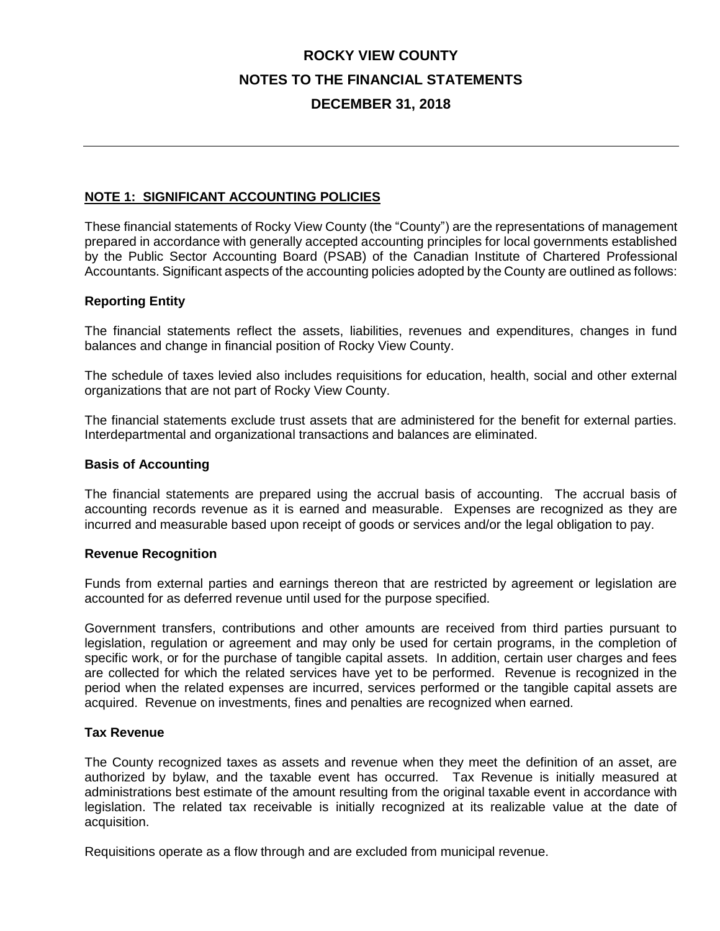### **NOTE 1: SIGNIFICANT ACCOUNTING POLICIES**

These financial statements of Rocky View County (the "County") are the representations of management prepared in accordance with generally accepted accounting principles for local governments established by the Public Sector Accounting Board (PSAB) of the Canadian Institute of Chartered Professional Accountants. Significant aspects of the accounting policies adopted by the County are outlined as follows:

#### **Reporting Entity**

The financial statements reflect the assets, liabilities, revenues and expenditures, changes in fund balances and change in financial position of Rocky View County.

The schedule of taxes levied also includes requisitions for education, health, social and other external organizations that are not part of Rocky View County.

The financial statements exclude trust assets that are administered for the benefit for external parties. Interdepartmental and organizational transactions and balances are eliminated.

#### **Basis of Accounting**

The financial statements are prepared using the accrual basis of accounting. The accrual basis of accounting records revenue as it is earned and measurable. Expenses are recognized as they are incurred and measurable based upon receipt of goods or services and/or the legal obligation to pay.

#### **Revenue Recognition**

Funds from external parties and earnings thereon that are restricted by agreement or legislation are accounted for as deferred revenue until used for the purpose specified.

Government transfers, contributions and other amounts are received from third parties pursuant to legislation, regulation or agreement and may only be used for certain programs, in the completion of specific work, or for the purchase of tangible capital assets. In addition, certain user charges and fees are collected for which the related services have yet to be performed. Revenue is recognized in the period when the related expenses are incurred, services performed or the tangible capital assets are acquired. Revenue on investments, fines and penalties are recognized when earned.

#### **Tax Revenue**

The County recognized taxes as assets and revenue when they meet the definition of an asset, are authorized by bylaw, and the taxable event has occurred. Tax Revenue is initially measured at administrations best estimate of the amount resulting from the original taxable event in accordance with legislation. The related tax receivable is initially recognized at its realizable value at the date of acquisition.

Requisitions operate as a flow through and are excluded from municipal revenue.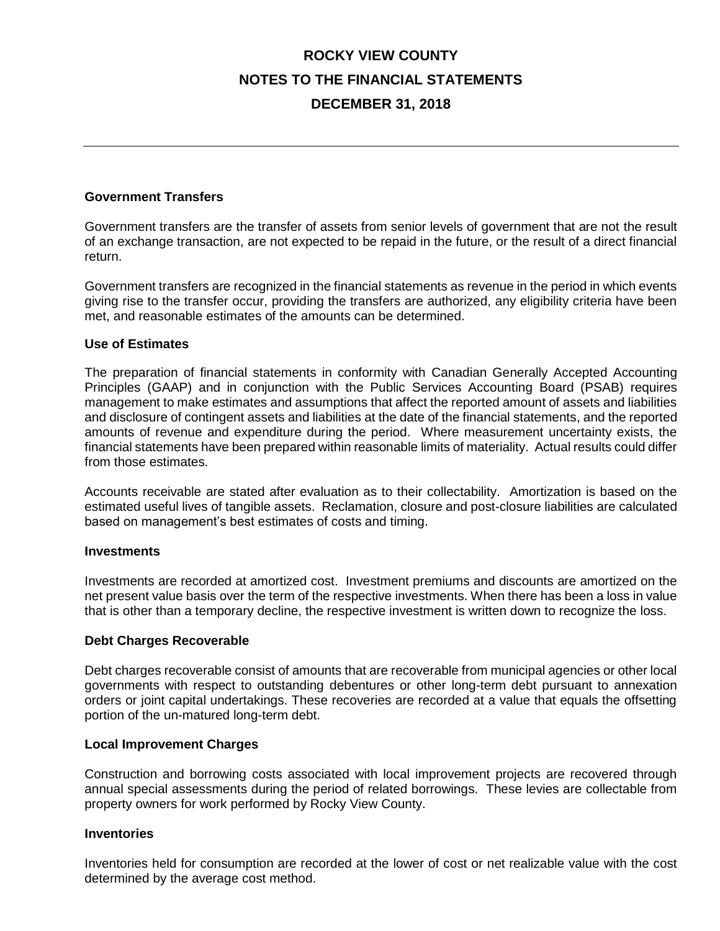#### **Government Transfers**

Government transfers are the transfer of assets from senior levels of government that are not the result of an exchange transaction, are not expected to be repaid in the future, or the result of a direct financial return.

Government transfers are recognized in the financial statements as revenue in the period in which events giving rise to the transfer occur, providing the transfers are authorized, any eligibility criteria have been met, and reasonable estimates of the amounts can be determined.

#### **Use of Estimates**

The preparation of financial statements in conformity with Canadian Generally Accepted Accounting Principles (GAAP) and in conjunction with the Public Services Accounting Board (PSAB) requires management to make estimates and assumptions that affect the reported amount of assets and liabilities and disclosure of contingent assets and liabilities at the date of the financial statements, and the reported amounts of revenue and expenditure during the period. Where measurement uncertainty exists, the financial statements have been prepared within reasonable limits of materiality. Actual results could differ from those estimates.

Accounts receivable are stated after evaluation as to their collectability. Amortization is based on the estimated useful lives of tangible assets. Reclamation, closure and post-closure liabilities are calculated based on management's best estimates of costs and timing.

#### **Investments**

Investments are recorded at amortized cost. Investment premiums and discounts are amortized on the net present value basis over the term of the respective investments. When there has been a loss in value that is other than a temporary decline, the respective investment is written down to recognize the loss.

#### **Debt Charges Recoverable**

Debt charges recoverable consist of amounts that are recoverable from municipal agencies or other local governments with respect to outstanding debentures or other long-term debt pursuant to annexation orders or joint capital undertakings. These recoveries are recorded at a value that equals the offsetting portion of the un-matured long-term debt.

#### **Local Improvement Charges**

Construction and borrowing costs associated with local improvement projects are recovered through annual special assessments during the period of related borrowings. These levies are collectable from property owners for work performed by Rocky View County.

#### **Inventories**

Inventories held for consumption are recorded at the lower of cost or net realizable value with the cost determined by the average cost method.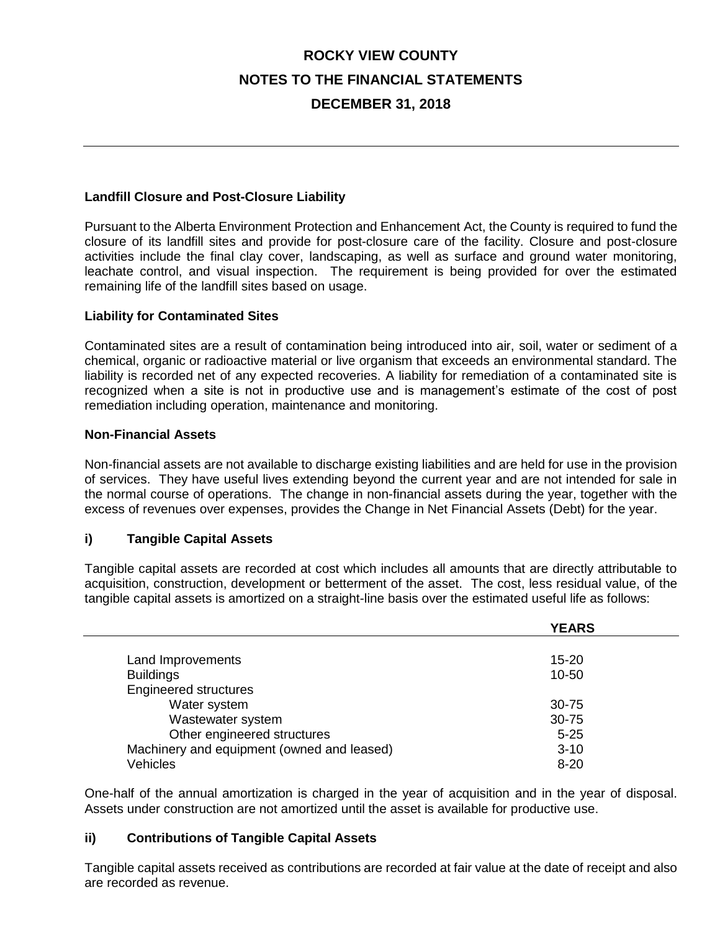### **Landfill Closure and Post-Closure Liability**

Pursuant to the Alberta Environment Protection and Enhancement Act, the County is required to fund the closure of its landfill sites and provide for post-closure care of the facility. Closure and post-closure activities include the final clay cover, landscaping, as well as surface and ground water monitoring, leachate control, and visual inspection. The requirement is being provided for over the estimated remaining life of the landfill sites based on usage.

#### **Liability for Contaminated Sites**

Contaminated sites are a result of contamination being introduced into air, soil, water or sediment of a chemical, organic or radioactive material or live organism that exceeds an environmental standard. The liability is recorded net of any expected recoveries. A liability for remediation of a contaminated site is recognized when a site is not in productive use and is management's estimate of the cost of post remediation including operation, maintenance and monitoring.

#### **Non-Financial Assets**

Non-financial assets are not available to discharge existing liabilities and are held for use in the provision of services. They have useful lives extending beyond the current year and are not intended for sale in the normal course of operations. The change in non-financial assets during the year, together with the excess of revenues over expenses, provides the Change in Net Financial Assets (Debt) for the year.

### **i) Tangible Capital Assets**

Tangible capital assets are recorded at cost which includes all amounts that are directly attributable to acquisition, construction, development or betterment of the asset. The cost, less residual value, of the tangible capital assets is amortized on a straight-line basis over the estimated useful life as follows:

| <b>YEARS</b> |  |
|--------------|--|
|              |  |
| $15 - 20$    |  |
| 10-50        |  |
|              |  |
| $30 - 75$    |  |
| $30 - 75$    |  |
| $5 - 25$     |  |
| $3 - 10$     |  |
| $8 - 20$     |  |
|              |  |

One-half of the annual amortization is charged in the year of acquisition and in the year of disposal. Assets under construction are not amortized until the asset is available for productive use.

### **ii) Contributions of Tangible Capital Assets**

Tangible capital assets received as contributions are recorded at fair value at the date of receipt and also are recorded as revenue.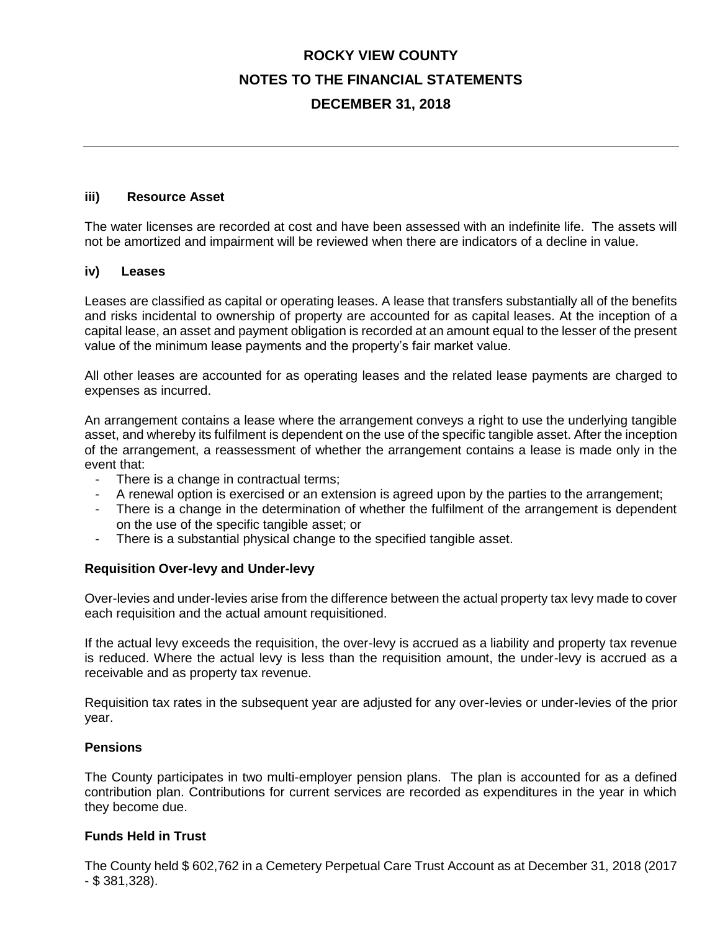### **iii) Resource Asset**

The water licenses are recorded at cost and have been assessed with an indefinite life. The assets will not be amortized and impairment will be reviewed when there are indicators of a decline in value.

#### **iv) Leases**

Leases are classified as capital or operating leases. A lease that transfers substantially all of the benefits and risks incidental to ownership of property are accounted for as capital leases. At the inception of a capital lease, an asset and payment obligation is recorded at an amount equal to the lesser of the present value of the minimum lease payments and the property's fair market value.

All other leases are accounted for as operating leases and the related lease payments are charged to expenses as incurred.

An arrangement contains a lease where the arrangement conveys a right to use the underlying tangible asset, and whereby its fulfilment is dependent on the use of the specific tangible asset. After the inception of the arrangement, a reassessment of whether the arrangement contains a lease is made only in the event that:

- There is a change in contractual terms;
- A renewal option is exercised or an extension is agreed upon by the parties to the arrangement;
- There is a change in the determination of whether the fulfilment of the arrangement is dependent on the use of the specific tangible asset; or
- There is a substantial physical change to the specified tangible asset.

#### **Requisition Over-levy and Under-levy**

Over-levies and under-levies arise from the difference between the actual property tax levy made to cover each requisition and the actual amount requisitioned.

If the actual levy exceeds the requisition, the over-levy is accrued as a liability and property tax revenue is reduced. Where the actual levy is less than the requisition amount, the under-levy is accrued as a receivable and as property tax revenue.

Requisition tax rates in the subsequent year are adjusted for any over-levies or under-levies of the prior year.

#### **Pensions**

The County participates in two multi-employer pension plans. The plan is accounted for as a defined contribution plan. Contributions for current services are recorded as expenditures in the year in which they become due.

#### **Funds Held in Trust**

The County held \$ 602,762 in a Cemetery Perpetual Care Trust Account as at December 31, 2018 (2017 - \$ 381,328).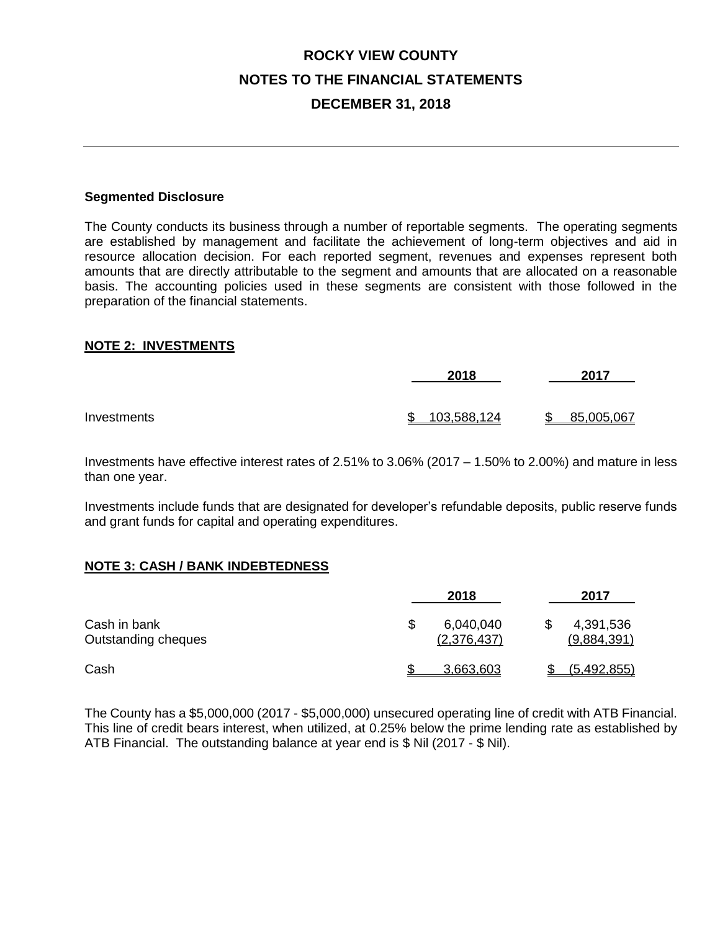#### **Segmented Disclosure**

The County conducts its business through a number of reportable segments. The operating segments are established by management and facilitate the achievement of long-term objectives and aid in resource allocation decision. For each reported segment, revenues and expenses represent both amounts that are directly attributable to the segment and amounts that are allocated on a reasonable basis. The accounting policies used in these segments are consistent with those followed in the preparation of the financial statements.

#### **NOTE 2: INVESTMENTS**

|             | 2018              | 2017       |
|-------------|-------------------|------------|
| Investments | 103,588,124<br>C. | 85,005,067 |

Investments have effective interest rates of 2.51% to 3.06% (2017  $-$  1.50% to 2.00%) and mature in less than one year.

Investments include funds that are designated for developer's refundable deposits, public reserve funds and grant funds for capital and operating expenditures.

### **NOTE 3: CASH / BANK INDEBTEDNESS**

|                                     | 2018                           | 2017                     |
|-------------------------------------|--------------------------------|--------------------------|
| Cash in bank<br>Outstanding cheques | \$<br>6,040,040<br>(2,376,437) | 4,391,536<br>(9,884,391) |
| Cash                                | 3,663,603                      | <u>(5,492,855)</u>       |

The County has a \$5,000,000 (2017 - \$5,000,000) unsecured operating line of credit with ATB Financial. This line of credit bears interest, when utilized, at 0.25% below the prime lending rate as established by ATB Financial. The outstanding balance at year end is \$ Nil (2017 - \$ Nil).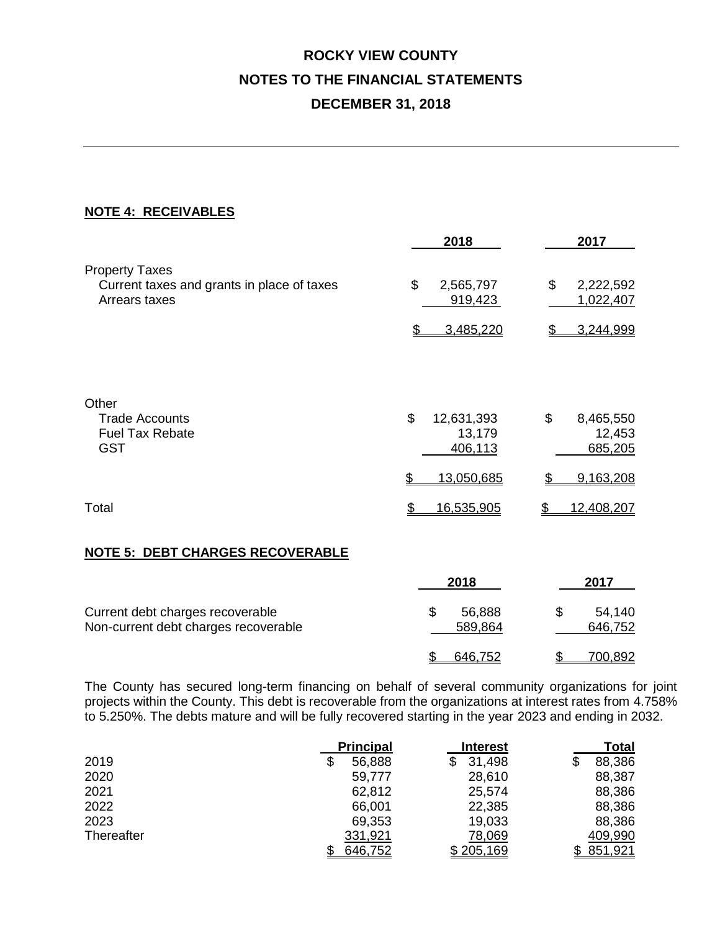### **NOTE 4: RECEIVABLES**

|                                                                                      | 2018                                    | 2017                                      |
|--------------------------------------------------------------------------------------|-----------------------------------------|-------------------------------------------|
| <b>Property Taxes</b><br>Current taxes and grants in place of taxes<br>Arrears taxes | \$<br>2,565,797<br>919,423<br>3,485,220 | \$<br>2,222,592<br>1,022,407<br>3,244,999 |
| Other<br><b>Trade Accounts</b><br><b>Fuel Tax Rebate</b>                             | \$<br>12,631,393<br>13,179              | \$<br>8,465,550<br>12,453                 |
| <b>GST</b><br>Total                                                                  | 406,113<br>13,050,685<br>16,535,905     | 685,205<br>9,163,208<br><u>12,408,207</u> |
| <b>NOTE 5: DEBT CHARGES RECOVERABLE</b>                                              |                                         |                                           |

# **2018 2017**  Current debt charges recoverable  $$56,888$   $$54,140$ Non-current debt charges recoverable<br>
589,864 646,752 \$ 646,752 \$ 700,892

The County has secured long-term financing on behalf of several community organizations for joint projects within the County. This debt is recoverable from the organizations at interest rates from 4.758% to 5.250%. The debts mature and will be fully recovered starting in the year 2023 and ending in 2032.

|            | <b>Principal</b> | <b>Interest</b> | <b>Total</b>   |
|------------|------------------|-----------------|----------------|
| 2019       | 56,888           | \$31,498        | 88,386<br>\$   |
| 2020       | 59,777           | 28,610          | 88,387         |
| 2021       | 62,812           | 25,574          | 88,386         |
| 2022       | 66,001           | 22,385          | 88,386         |
| 2023       | 69,353           | 19,033          | 88,386         |
| Thereafter | 331,921          | 78,069          | 409,990        |
|            | 646,752          | \$205,169       | <u>851,921</u> |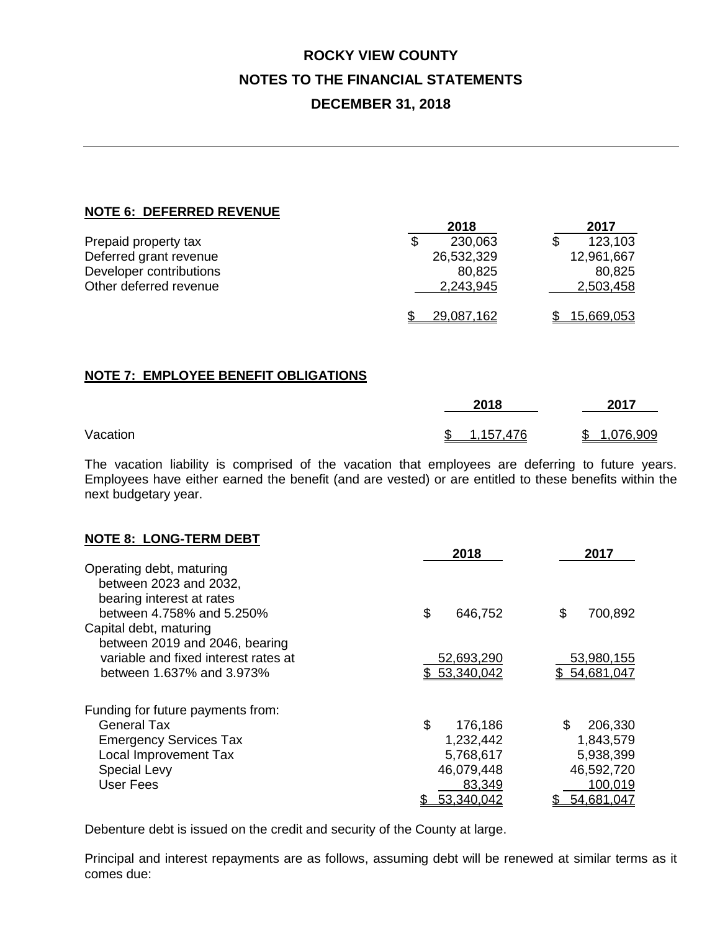#### **NOTE 6: DEFERRED REVENUE**

|                         | 2018          | 2017              |
|-------------------------|---------------|-------------------|
| Prepaid property tax    | 230,063<br>\$ | 123,103           |
| Deferred grant revenue  | 26,532,329    | 12,961,667        |
| Developer contributions | 80,825        | 80,825            |
| Other deferred revenue  | 2,243,945     | 2,503,458         |
|                         | 29,087,162    | <u>15,669,053</u> |

### **NOTE 7: EMPLOYEE BENEFIT OBLIGATIONS**

|          | 2018                  | 2017        |
|----------|-----------------------|-------------|
| Vacation | 1.157.476<br><b>Q</b> | \$1,076,909 |

The vacation liability is comprised of the vacation that employees are deferring to future years. Employees have either earned the benefit (and are vested) or are entitled to these benefits within the next budgetary year.

## **NOTE 8: LONG-TERM DEBT 2018 2017**  Operating debt, maturing between 2023 and 2032, bearing interest at rates between 4.758% and 5.250% **\$** 646,752 \$ 700,892 Capital debt, maturing between 2019 and 2046, bearing variable and fixed interest rates at  $52,693,290$  53,980,155 between 1.637% and 3.973% **\$** 53,340,042 \$ 54,681,047 Funding for future payments from: General Tax 6 176,186 \$ 206,330 Emergency Services Tax 1,232,442 1,843,579 Local Improvement Tax 6,768,617 5,768,617 5,938,399 Special Levy 46,079,448 46,079,448 User Fees 2012 2020 2021 2022 2030 2040 2050 2060 2071 2080 2091 2092 2092 2093 2094 2095 2096 2097 2098 2097 20 \$ 53,340,042 \$ 54,681,047

Debenture debt is issued on the credit and security of the County at large.

Principal and interest repayments are as follows, assuming debt will be renewed at similar terms as it comes due: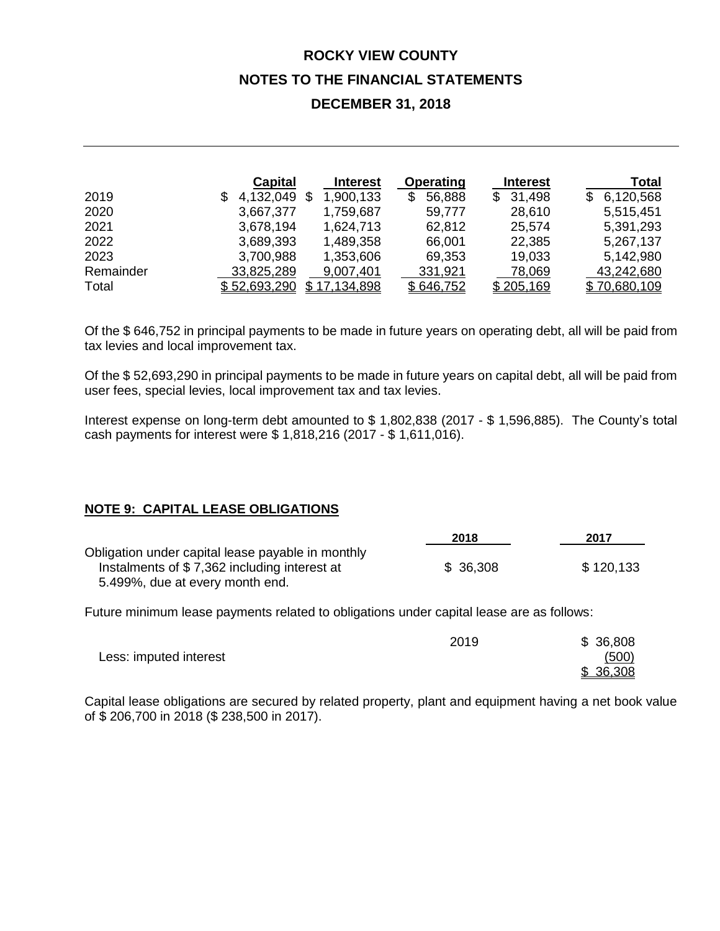# **ROCKY VIEW COUNTY NOTES TO THE FINANCIAL STATEMENTS**

## **DECEMBER 31, 2018**

|           | Capital      | <b>Interest</b> | <b>Operating</b> | <b>Interest</b> | Total               |
|-----------|--------------|-----------------|------------------|-----------------|---------------------|
| 2019      | 4,132,049 \$ | 1,900,133       | 56,888<br>S      | \$31,498        | 6,120,568           |
| 2020      | 3,667,377    | 1,759,687       | 59,777           | 28,610          | 5,515,451           |
| 2021      | 3,678,194    | 1,624,713       | 62,812           | 25,574          | 5,391,293           |
| 2022      | 3,689,393    | 1,489,358       | 66,001           | 22,385          | 5,267,137           |
| 2023      | 3,700,988    | 1,353,606       | 69,353           | 19,033          | 5,142,980           |
| Remainder | 33,825,289   | 9,007,401       | 331,921          | 78,069          | 43,242,680          |
| Total     | \$52.693.290 | \$17.134.898    | \$646.752        | \$205.169       | <u>\$70.680.109</u> |

Of the \$ 646,752 in principal payments to be made in future years on operating debt, all will be paid from tax levies and local improvement tax.

Of the \$ 52,693,290 in principal payments to be made in future years on capital debt, all will be paid from user fees, special levies, local improvement tax and tax levies.

Interest expense on long-term debt amounted to \$ 1,802,838 (2017 - \$ 1,596,885). The County's total cash payments for interest were \$ 1,818,216 (2017 - \$ 1,611,016).

### **NOTE 9: CAPITAL LEASE OBLIGATIONS**

|                                                   | 2018     | 2017      |
|---------------------------------------------------|----------|-----------|
| Obligation under capital lease payable in monthly |          |           |
| Instalments of \$7,362 including interest at      | \$36,308 | \$120,133 |
| 5.499%, due at every month end.                   |          |           |

Future minimum lease payments related to obligations under capital lease are as follows:

|                        | 2019 | \$36,808 |
|------------------------|------|----------|
| Less: imputed interest |      | (500)    |
|                        |      | \$36,308 |

Capital lease obligations are secured by related property, plant and equipment having a net book value of \$ 206,700 in 2018 (\$ 238,500 in 2017).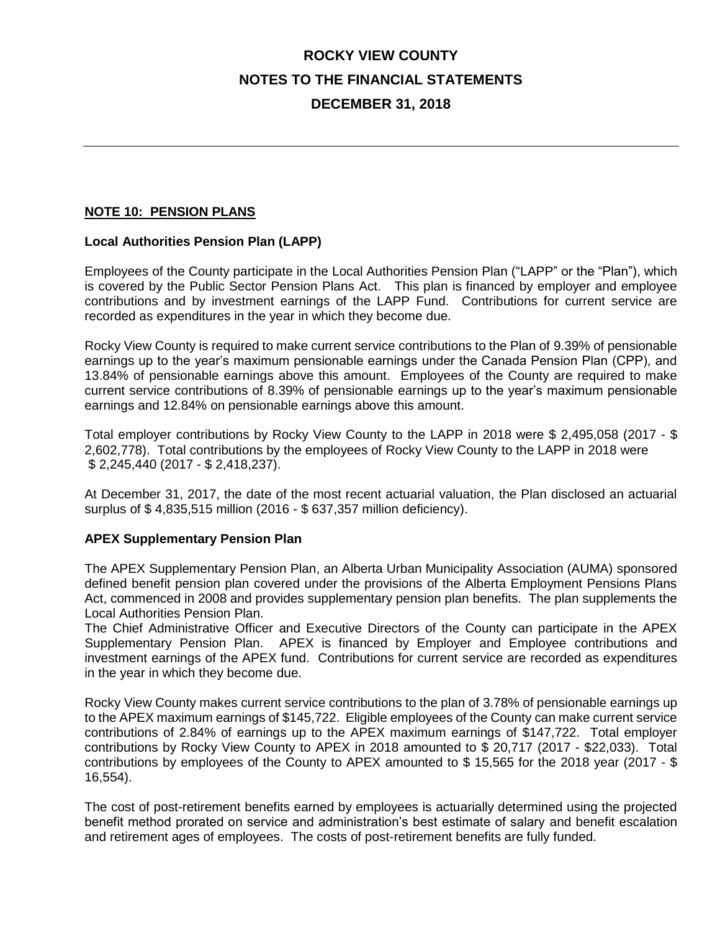#### **NOTE 10: PENSION PLANS**

#### **Local Authorities Pension Plan (LAPP)**

Employees of the County participate in the Local Authorities Pension Plan ("LAPP" or the "Plan"), which is covered by the Public Sector Pension Plans Act. This plan is financed by employer and employee contributions and by investment earnings of the LAPP Fund. Contributions for current service are recorded as expenditures in the year in which they become due.

Rocky View County is required to make current service contributions to the Plan of 9.39% of pensionable earnings up to the year's maximum pensionable earnings under the Canada Pension Plan (CPP), and 13.84% of pensionable earnings above this amount. Employees of the County are required to make current service contributions of 8.39% of pensionable earnings up to the year's maximum pensionable earnings and 12.84% on pensionable earnings above this amount.

Total employer contributions by Rocky View County to the LAPP in 2018 were \$ 2,495,058 (2017 - \$ 2,602,778). Total contributions by the employees of Rocky View County to the LAPP in 2018 were \$ 2,245,440 (2017 - \$ 2,418,237).

At December 31, 2017, the date of the most recent actuarial valuation, the Plan disclosed an actuarial surplus of \$ 4,835,515 million (2016 - \$ 637,357 million deficiency).

### **APEX Supplementary Pension Plan**

The APEX Supplementary Pension Plan, an Alberta Urban Municipality Association (AUMA) sponsored defined benefit pension plan covered under the provisions of the Alberta Employment Pensions Plans Act, commenced in 2008 and provides supplementary pension plan benefits. The plan supplements the Local Authorities Pension Plan.

The Chief Administrative Officer and Executive Directors of the County can participate in the APEX Supplementary Pension Plan. APEX is financed by Employer and Employee contributions and investment earnings of the APEX fund. Contributions for current service are recorded as expenditures in the year in which they become due.

Rocky View County makes current service contributions to the plan of 3.78% of pensionable earnings up to the APEX maximum earnings of \$145,722. Eligible employees of the County can make current service contributions of 2.84% of earnings up to the APEX maximum earnings of \$147,722. Total employer contributions by Rocky View County to APEX in 2018 amounted to \$ 20,717 (2017 - \$22,033). Total contributions by employees of the County to APEX amounted to \$ 15,565 for the 2018 year (2017 - \$ 16,554).

The cost of post-retirement benefits earned by employees is actuarially determined using the projected benefit method prorated on service and administration's best estimate of salary and benefit escalation and retirement ages of employees. The costs of post-retirement benefits are fully funded.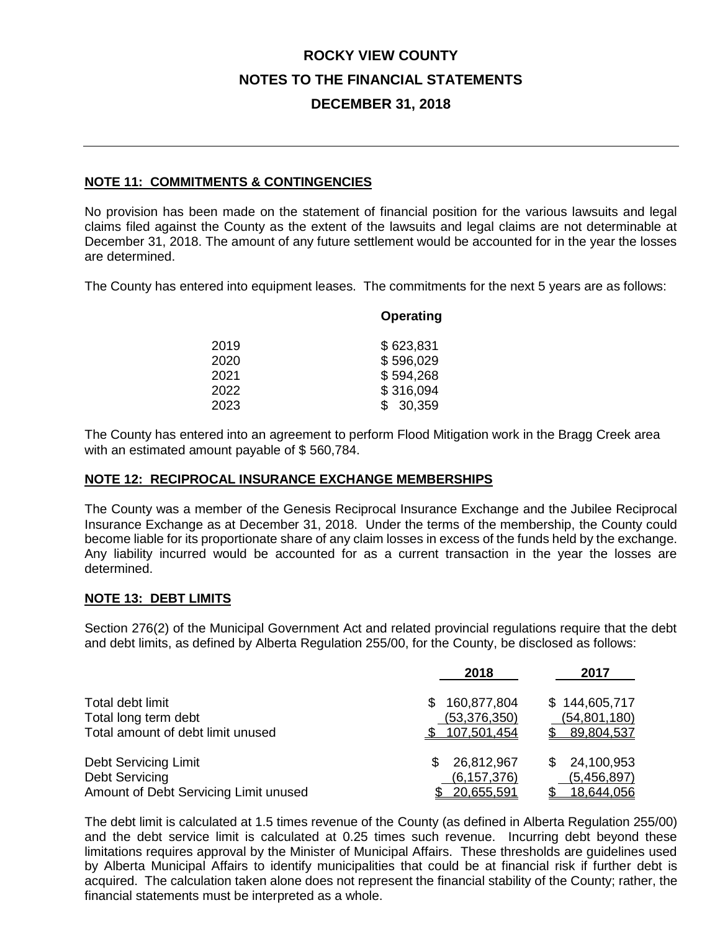#### **NOTE 11: COMMITMENTS & CONTINGENCIES**

No provision has been made on the statement of financial position for the various lawsuits and legal claims filed against the County as the extent of the lawsuits and legal claims are not determinable at December 31, 2018. The amount of any future settlement would be accounted for in the year the losses are determined.

The County has entered into equipment leases. The commitments for the next 5 years are as follows:

|      | Operating     |
|------|---------------|
| 2019 | \$623,831     |
| 2020 | \$596,029     |
| 2021 | \$594,268     |
| 2022 | \$316,094     |
| 2023 | 30,359<br>\$. |

The County has entered into an agreement to perform Flood Mitigation work in the Bragg Creek area with an estimated amount payable of \$ 560,784.

### **NOTE 12: RECIPROCAL INSURANCE EXCHANGE MEMBERSHIPS**

The County was a member of the Genesis Reciprocal Insurance Exchange and the Jubilee Reciprocal Insurance Exchange as at December 31, 2018. Under the terms of the membership, the County could become liable for its proportionate share of any claim losses in excess of the funds held by the exchange. Any liability incurred would be accounted for as a current transaction in the year the losses are determined.

#### **NOTE 13: DEBT LIMITS**

Section 276(2) of the Municipal Government Act and related provincial regulations require that the debt and debt limits, as defined by Alberta Regulation 255/00, for the County, be disclosed as follows:

|                                       | 2018             | 2017          |
|---------------------------------------|------------------|---------------|
| Total debt limit                      | 160,877,804<br>S | \$144,605,717 |
| Total long term debt                  | (53, 376, 350)   | (54,801,180)  |
| Total amount of debt limit unused     | 107,501,454      | 89,804,537    |
| <b>Debt Servicing Limit</b>           | 26,812,967       | 24,100,953    |
| Debt Servicing                        | (6, 157, 376)    | (5,456,897)   |
| Amount of Debt Servicing Limit unused | 20,655,591       | 18,644,056    |

The debt limit is calculated at 1.5 times revenue of the County (as defined in Alberta Regulation 255/00) and the debt service limit is calculated at 0.25 times such revenue. Incurring debt beyond these limitations requires approval by the Minister of Municipal Affairs. These thresholds are guidelines used by Alberta Municipal Affairs to identify municipalities that could be at financial risk if further debt is acquired. The calculation taken alone does not represent the financial stability of the County; rather, the financial statements must be interpreted as a whole.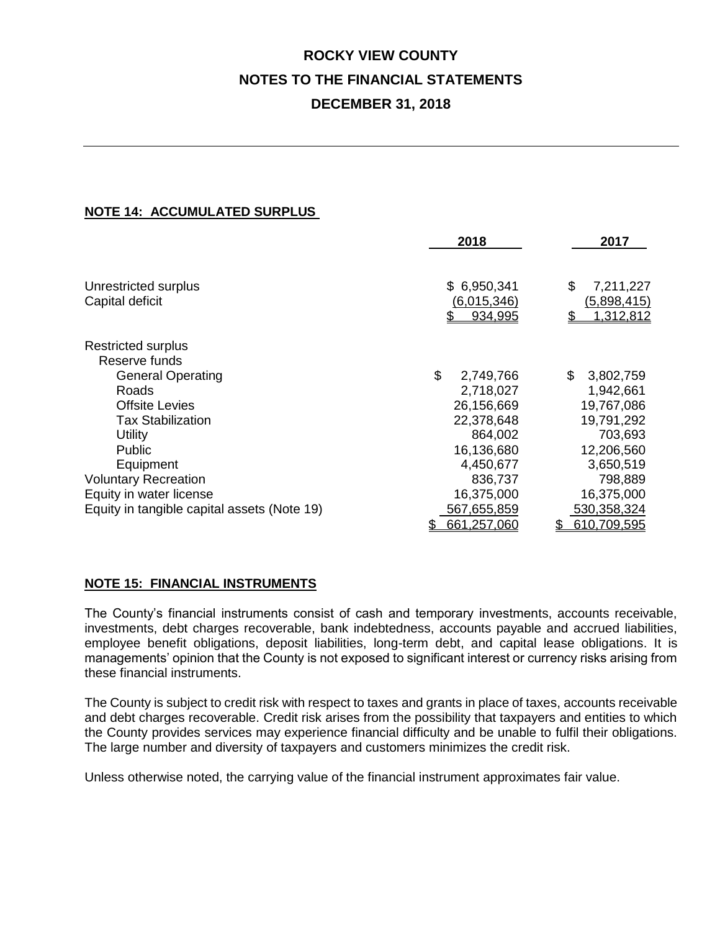#### **NOTE 14: ACCUMULATED SURPLUS**

|                                             | 2018                                  | 2017                                              |
|---------------------------------------------|---------------------------------------|---------------------------------------------------|
| Unrestricted surplus<br>Capital deficit     | \$6,950,341<br>(6,015,346)<br>934,995 | \$<br>7,211,227<br>(5,898,415)<br>1,312,812<br>\$ |
| <b>Restricted surplus</b>                   |                                       |                                                   |
| Reserve funds                               |                                       |                                                   |
| <b>General Operating</b>                    | \$<br>2,749,766                       | \$<br>3,802,759                                   |
| Roads                                       | 2,718,027                             | 1,942,661                                         |
| <b>Offsite Levies</b>                       | 26,156,669                            | 19,767,086                                        |
| <b>Tax Stabilization</b>                    | 22,378,648                            | 19,791,292                                        |
| Utility                                     | 864,002                               | 703,693                                           |
| Public                                      | 16,136,680                            | 12,206,560                                        |
| Equipment                                   | 4,450,677                             | 3,650,519                                         |
| <b>Voluntary Recreation</b>                 | 836,737                               | 798,889                                           |
| Equity in water license                     | 16,375,000                            | 16,375,000                                        |
| Equity in tangible capital assets (Note 19) | 567,655,859                           | 530,358,324                                       |
|                                             | 661,257,060                           | 610,709,595<br>\$                                 |

#### **NOTE 15: FINANCIAL INSTRUMENTS**

The County's financial instruments consist of cash and temporary investments, accounts receivable, investments, debt charges recoverable, bank indebtedness, accounts payable and accrued liabilities, employee benefit obligations, deposit liabilities, long-term debt, and capital lease obligations. It is managements' opinion that the County is not exposed to significant interest or currency risks arising from these financial instruments.

The County is subject to credit risk with respect to taxes and grants in place of taxes, accounts receivable and debt charges recoverable. Credit risk arises from the possibility that taxpayers and entities to which the County provides services may experience financial difficulty and be unable to fulfil their obligations. The large number and diversity of taxpayers and customers minimizes the credit risk.

Unless otherwise noted, the carrying value of the financial instrument approximates fair value.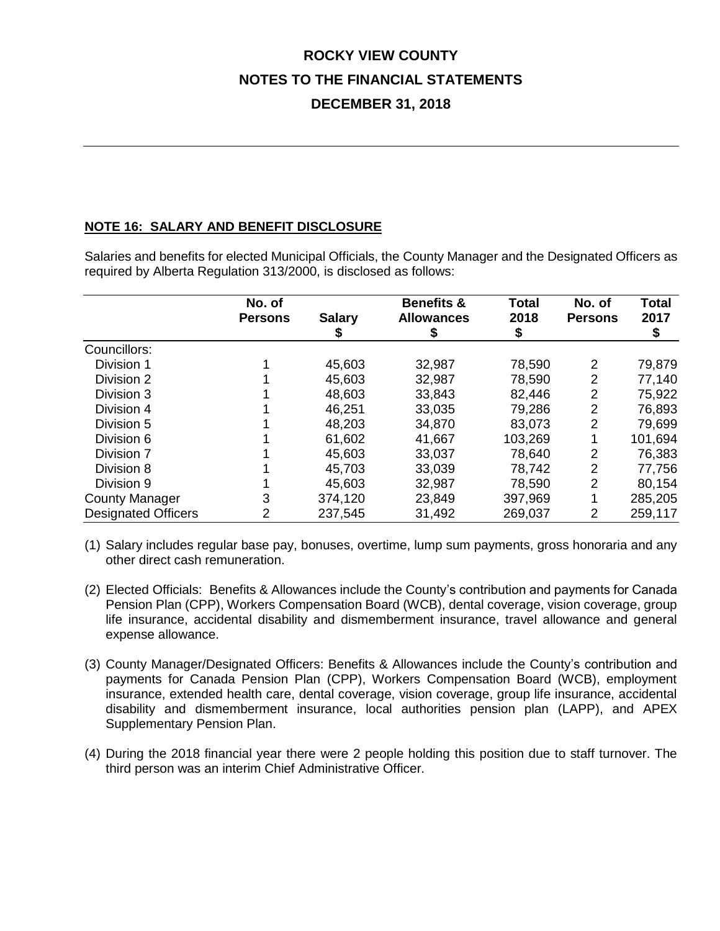## **NOTE 16: SALARY AND BENEFIT DISCLOSURE**

Salaries and benefits for elected Municipal Officials, the County Manager and the Designated Officers as required by Alberta Regulation 313/2000, is disclosed as follows:

|                            | No. of         |               | <b>Benefits &amp;</b> | <b>Total</b> | No. of         | <b>Total</b> |
|----------------------------|----------------|---------------|-----------------------|--------------|----------------|--------------|
|                            | <b>Persons</b> | <b>Salary</b> | <b>Allowances</b>     | 2018         | <b>Persons</b> | 2017<br>5    |
| Councillors:               |                |               |                       |              |                |              |
| Division 1                 |                | 45,603        | 32,987                | 78,590       | 2              | 79,879       |
| Division 2                 |                | 45,603        | 32,987                | 78,590       | 2              | 77,140       |
| Division 3                 |                | 48,603        | 33,843                | 82,446       | 2              | 75,922       |
| Division 4                 |                | 46,251        | 33,035                | 79,286       | 2              | 76,893       |
| Division 5                 |                | 48,203        | 34,870                | 83,073       | 2              | 79,699       |
| Division 6                 |                | 61,602        | 41,667                | 103,269      |                | 101,694      |
| Division 7                 |                | 45,603        | 33,037                | 78,640       | 2              | 76,383       |
| Division 8                 |                | 45,703        | 33,039                | 78,742       | 2              | 77,756       |
| Division 9                 |                | 45,603        | 32,987                | 78,590       | 2              | 80,154       |
| <b>County Manager</b>      | 3              | 374,120       | 23,849                | 397,969      |                | 285,205      |
| <b>Designated Officers</b> | 2              | 237,545       | 31,492                | 269,037      | 2              | 259,117      |

(1) Salary includes regular base pay, bonuses, overtime, lump sum payments, gross honoraria and any other direct cash remuneration.

- (2) Elected Officials: Benefits & Allowances include the County's contribution and payments for Canada Pension Plan (CPP), Workers Compensation Board (WCB), dental coverage, vision coverage, group life insurance, accidental disability and dismemberment insurance, travel allowance and general expense allowance.
- (3) County Manager/Designated Officers: Benefits & Allowances include the County's contribution and payments for Canada Pension Plan (CPP), Workers Compensation Board (WCB), employment insurance, extended health care, dental coverage, vision coverage, group life insurance, accidental disability and dismemberment insurance, local authorities pension plan (LAPP), and APEX Supplementary Pension Plan.
- (4) During the 2018 financial year there were 2 people holding this position due to staff turnover. The third person was an interim Chief Administrative Officer.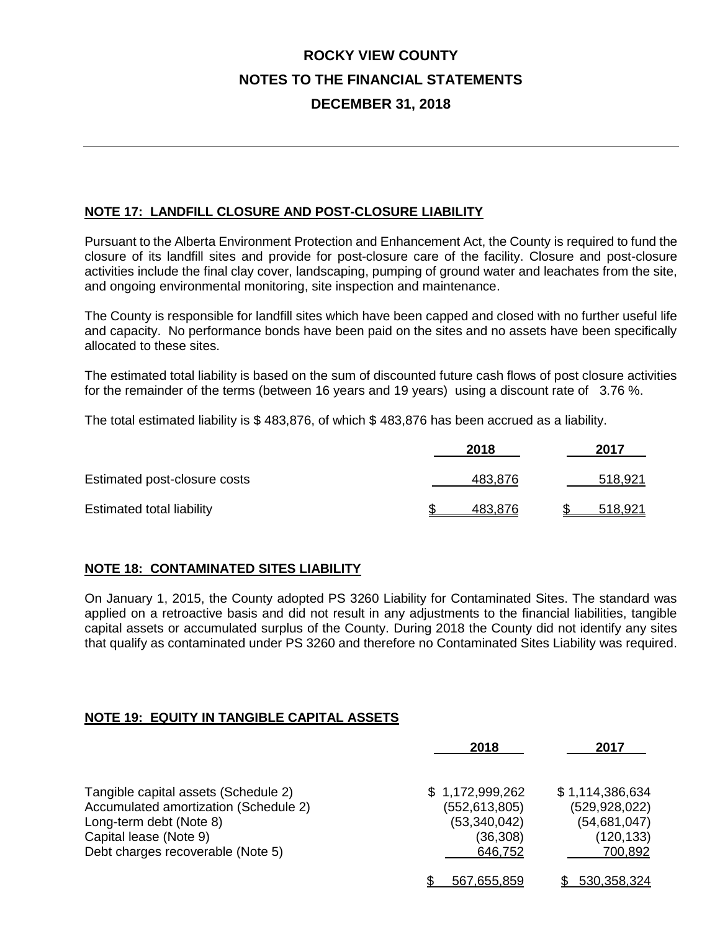### **NOTE 17: LANDFILL CLOSURE AND POST-CLOSURE LIABILITY**

Pursuant to the Alberta Environment Protection and Enhancement Act, the County is required to fund the closure of its landfill sites and provide for post-closure care of the facility. Closure and post-closure activities include the final clay cover, landscaping, pumping of ground water and leachates from the site, and ongoing environmental monitoring, site inspection and maintenance.

The County is responsible for landfill sites which have been capped and closed with no further useful life and capacity. No performance bonds have been paid on the sites and no assets have been specifically allocated to these sites.

The estimated total liability is based on the sum of discounted future cash flows of post closure activities for the remainder of the terms (between 16 years and 19 years) using a discount rate of 3.76 %.

The total estimated liability is \$ 483,876, of which \$ 483,876 has been accrued as a liability.

|                                  | 2018    | 2017    |
|----------------------------------|---------|---------|
| Estimated post-closure costs     | 483.876 | 518,921 |
| <b>Estimated total liability</b> | 483.876 | 518,921 |

# **NOTE 18: CONTAMINATED SITES LIABILITY**

On January 1, 2015, the County adopted PS 3260 Liability for Contaminated Sites. The standard was applied on a retroactive basis and did not result in any adjustments to the financial liabilities, tangible capital assets or accumulated surplus of the County. During 2018 the County did not identify any sites that qualify as contaminated under PS 3260 and therefore no Contaminated Sites Liability was required.

# **NOTE 19: EQUITY IN TANGIBLE CAPITAL ASSETS**

|                                       | 2018            | 2017            |
|---------------------------------------|-----------------|-----------------|
| Tangible capital assets (Schedule 2)  | \$1,172,999,262 | \$1,114,386,634 |
| Accumulated amortization (Schedule 2) | (552, 613, 805) | (529, 928, 022) |
| Long-term debt (Note 8)               | (53,340,042)    | (54,681,047)    |
| Capital lease (Note 9)                | (36, 308)       | (120, 133)      |
| Debt charges recoverable (Note 5)     | 646,752         | 700,892         |
|                                       | 567,655,859     | 530,358,324     |